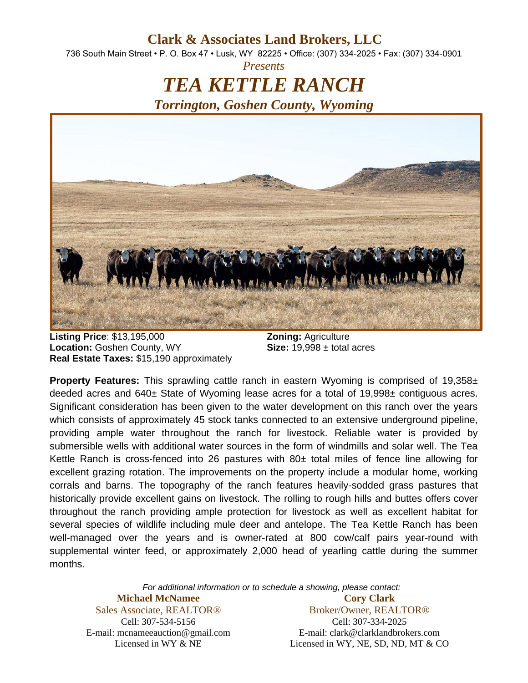**Clark & Associates Land Brokers, LLC**

736 South Main Street • P. O. Box 47 • Lusk, WY 82225 • Office: (307) 334-2025 • Fax: (307) 334-0901 *Presents*

> *TEA KETTLE RANCH Torrington, Goshen County, Wyoming*



**Listing Price**: \$13,195,000 **Zoning:** Agriculture **Location:** Goshen County, WY **Size:** 19,998 ± total acres **Real Estate Taxes:** \$15,190 approximately

**Property Features:** This sprawling cattle ranch in eastern Wyoming is comprised of 19,358± deeded acres and 640± State of Wyoming lease acres for a total of 19,998± contiguous acres. Significant consideration has been given to the water development on this ranch over the years which consists of approximately 45 stock tanks connected to an extensive underground pipeline, providing ample water throughout the ranch for livestock. Reliable water is provided by submersible wells with additional water sources in the form of windmills and solar well. The Tea Kettle Ranch is cross-fenced into 26 pastures with  $80<sub>±</sub>$  total miles of fence line allowing for excellent grazing rotation. The improvements on the property include a modular home, working corrals and barns. The topography of the ranch features heavily-sodded grass pastures that historically provide excellent gains on livestock. The rolling to rough hills and buttes offers cover throughout the ranch providing ample protection for livestock as well as excellent habitat for several species of wildlife including mule deer and antelope. The Tea Kettle Ranch has been well-managed over the years and is owner-rated at 800 cow/calf pairs year-round with supplemental winter feed, or approximately 2,000 head of yearling cattle during the summer months.

> *For additional information or to schedule a showing, please contact:* **Michael McNamee** Sales Associate, REALTOR® **Cory Clark**

Cell: 307-534-5156 E-mail: mcnameeauction@gmail.com Licensed in WY & NE

Broker/Owner, REALTOR® Cell: 307-334-2025 E-mail: clark@clarklandbrokers.com Licensed in WY, NE, SD, ND, MT & CO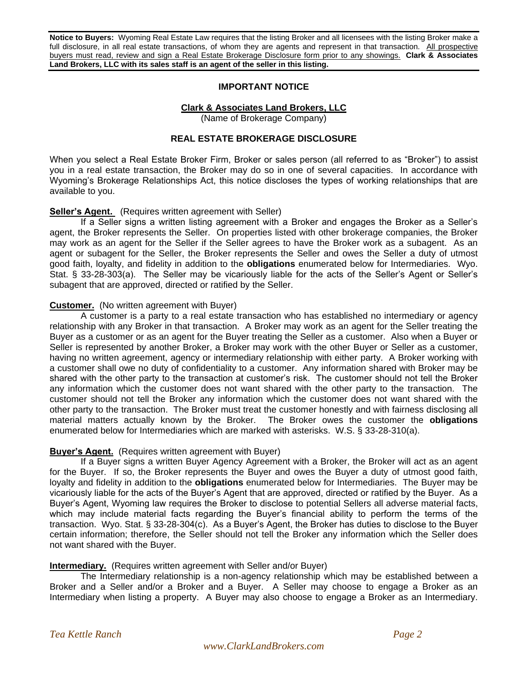**Notice to Buyers:** Wyoming Real Estate Law requires that the listing Broker and all licensees with the listing Broker make a full disclosure, in all real estate transactions, of whom they are agents and represent in that transaction. All prospective buyers must read, review and sign a Real Estate Brokerage Disclosure form prior to any showings. **Clark & Associates Land Brokers, LLC with its sales staff is an agent of the seller in this listing.**

#### **IMPORTANT NOTICE**

# **Clark & Associates Land Brokers, LLC**

(Name of Brokerage Company)

### **REAL ESTATE BROKERAGE DISCLOSURE**

When you select a Real Estate Broker Firm, Broker or sales person (all referred to as "Broker") to assist you in a real estate transaction, the Broker may do so in one of several capacities. In accordance with Wyoming's Brokerage Relationships Act, this notice discloses the types of working relationships that are available to you.

### **Seller's Agent.** (Requires written agreement with Seller)

If a Seller signs a written listing agreement with a Broker and engages the Broker as a Seller's agent, the Broker represents the Seller. On properties listed with other brokerage companies, the Broker may work as an agent for the Seller if the Seller agrees to have the Broker work as a subagent. As an agent or subagent for the Seller, the Broker represents the Seller and owes the Seller a duty of utmost good faith, loyalty, and fidelity in addition to the **obligations** enumerated below for Intermediaries. Wyo. Stat. § 33-28-303(a). The Seller may be vicariously liable for the acts of the Seller's Agent or Seller's subagent that are approved, directed or ratified by the Seller.

### **Customer.** (No written agreement with Buyer)

A customer is a party to a real estate transaction who has established no intermediary or agency relationship with any Broker in that transaction. A Broker may work as an agent for the Seller treating the Buyer as a customer or as an agent for the Buyer treating the Seller as a customer. Also when a Buyer or Seller is represented by another Broker, a Broker may work with the other Buyer or Seller as a customer, having no written agreement, agency or intermediary relationship with either party. A Broker working with a customer shall owe no duty of confidentiality to a customer. Any information shared with Broker may be shared with the other party to the transaction at customer's risk. The customer should not tell the Broker any information which the customer does not want shared with the other party to the transaction. The customer should not tell the Broker any information which the customer does not want shared with the other party to the transaction. The Broker must treat the customer honestly and with fairness disclosing all material matters actually known by the Broker. The Broker owes the customer the **obligations** enumerated below for Intermediaries which are marked with asterisks. W.S. § 33-28-310(a).

# **Buyer's Agent.** (Requires written agreement with Buyer)

If a Buyer signs a written Buyer Agency Agreement with a Broker, the Broker will act as an agent for the Buyer. If so, the Broker represents the Buyer and owes the Buyer a duty of utmost good faith, loyalty and fidelity in addition to the **obligations** enumerated below for Intermediaries. The Buyer may be vicariously liable for the acts of the Buyer's Agent that are approved, directed or ratified by the Buyer. As a Buyer's Agent, Wyoming law requires the Broker to disclose to potential Sellers all adverse material facts, which may include material facts regarding the Buyer's financial ability to perform the terms of the transaction. Wyo. Stat. § 33-28-304(c). As a Buyer's Agent, the Broker has duties to disclose to the Buyer certain information; therefore, the Seller should not tell the Broker any information which the Seller does not want shared with the Buyer.

#### **Intermediary.** (Requires written agreement with Seller and/or Buyer)

The Intermediary relationship is a non-agency relationship which may be established between a Broker and a Seller and/or a Broker and a Buyer. A Seller may choose to engage a Broker as an Intermediary when listing a property. A Buyer may also choose to engage a Broker as an Intermediary.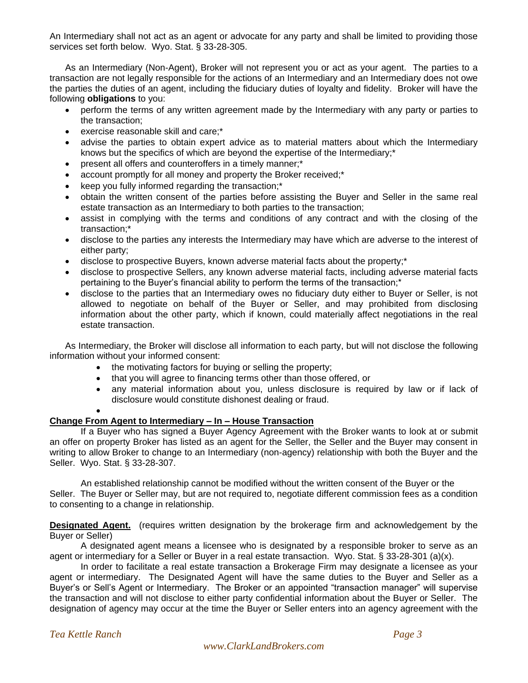An Intermediary shall not act as an agent or advocate for any party and shall be limited to providing those services set forth below. Wyo. Stat. § 33-28-305.

As an Intermediary (Non-Agent), Broker will not represent you or act as your agent. The parties to a transaction are not legally responsible for the actions of an Intermediary and an Intermediary does not owe the parties the duties of an agent, including the fiduciary duties of loyalty and fidelity. Broker will have the following **obligations** to you:

- perform the terms of any written agreement made by the Intermediary with any party or parties to the transaction;
- exercise reasonable skill and care;\*
- advise the parties to obtain expert advice as to material matters about which the Intermediary knows but the specifics of which are beyond the expertise of the Intermediary;\*
- present all offers and counteroffers in a timely manner;\*
- account promptly for all money and property the Broker received;\*
- keep you fully informed regarding the transaction;\*
- obtain the written consent of the parties before assisting the Buyer and Seller in the same real estate transaction as an Intermediary to both parties to the transaction;
- assist in complying with the terms and conditions of any contract and with the closing of the transaction;\*
- disclose to the parties any interests the Intermediary may have which are adverse to the interest of either party;
- disclose to prospective Buyers, known adverse material facts about the property;\*
- disclose to prospective Sellers, any known adverse material facts, including adverse material facts pertaining to the Buyer's financial ability to perform the terms of the transaction;\*
- disclose to the parties that an Intermediary owes no fiduciary duty either to Buyer or Seller, is not allowed to negotiate on behalf of the Buyer or Seller, and may prohibited from disclosing information about the other party, which if known, could materially affect negotiations in the real estate transaction.

As Intermediary, the Broker will disclose all information to each party, but will not disclose the following information without your informed consent:

- the motivating factors for buying or selling the property;
- that you will agree to financing terms other than those offered, or
- any material information about you, unless disclosure is required by law or if lack of disclosure would constitute dishonest dealing or fraud.

 $\bullet$ 

# **Change From Agent to Intermediary – In – House Transaction**

If a Buyer who has signed a Buyer Agency Agreement with the Broker wants to look at or submit an offer on property Broker has listed as an agent for the Seller, the Seller and the Buyer may consent in writing to allow Broker to change to an Intermediary (non-agency) relationship with both the Buyer and the Seller. Wyo. Stat. § 33-28-307.

An established relationship cannot be modified without the written consent of the Buyer or the Seller. The Buyer or Seller may, but are not required to, negotiate different commission fees as a condition to consenting to a change in relationship.

**Designated Agent.** (requires written designation by the brokerage firm and acknowledgement by the Buyer or Seller)

A designated agent means a licensee who is designated by a responsible broker to serve as an agent or intermediary for a Seller or Buyer in a real estate transaction. Wyo. Stat. § 33-28-301 (a)(x).

In order to facilitate a real estate transaction a Brokerage Firm may designate a licensee as your agent or intermediary. The Designated Agent will have the same duties to the Buyer and Seller as a Buyer's or Sell's Agent or Intermediary. The Broker or an appointed "transaction manager" will supervise the transaction and will not disclose to either party confidential information about the Buyer or Seller. The designation of agency may occur at the time the Buyer or Seller enters into an agency agreement with the